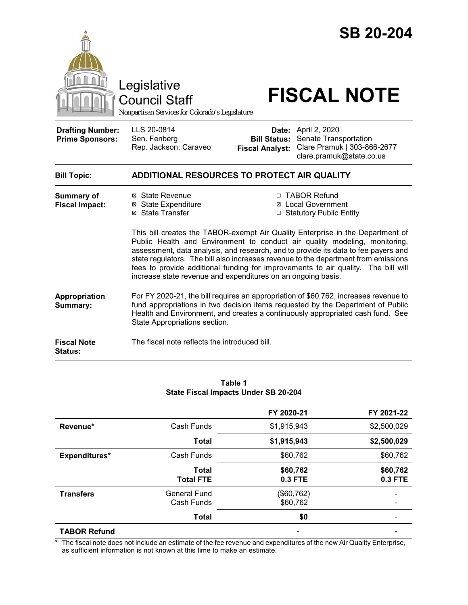

Council Staff

# Legislative<br>Council Staff **FISCAL NOTE**

*Nonpartisan Services for Colorado's Legislature*

**Drafting Number: Prime Sponsors:**

LLS 20-0814 Sen. Fenberg Rep. Jackson; Caraveo

**Date:** April 2, 2020 **Bill Status:** Senate Transportation **Fiscal Analyst:** Clare Pramuk | 303-866-2677 clare.pramuk@state.co.us

| <b>Bill Topic:</b>           | ADDITIONAL RESOURCES TO PROTECT AIR QUALITY                |                                                                                                                                                              |  |
|------------------------------|------------------------------------------------------------|--------------------------------------------------------------------------------------------------------------------------------------------------------------|--|
| Summary of<br>Fiscal Impact: | ⊠ State Revenue<br>⊠ State Expenditure<br>⊠ State Transfer | □ TABOR Refund<br>⊠ Local Government<br>□ Statutory Public Entity                                                                                            |  |
|                              |                                                            | This bill creates the TABOR-exempt Air Quality Enterprise in the Department of<br>Public Health and Environment to conduct air quality modeling, monitoring, |  |

Public Health and Environment to conduct air quality modeling, monitoring, assessment, data analysis, and research, and to provide its data to fee payers and state regulators. The bill also increases revenue to the department from emissions fees to provide additional funding for improvements to air quality. The bill will increase state revenue and expenditures on an ongoing basis.

**Appropriation Summary:**  For FY 2020-21, the bill requires an appropriation of \$60,762, increases revenue to fund appropriations in two decision items requested by the Department of Public Health and Environment, and creates a continuously appropriated cash fund. See State Appropriations section.

**Fiscal Note Status:** The fiscal note reflects the introduced bill.

|                     |                                  | FY 2020-21             | FY 2021-22          |
|---------------------|----------------------------------|------------------------|---------------------|
| Revenue*            | Cash Funds                       | \$1,915,943            | \$2,500,029         |
|                     | <b>Total</b>                     | \$1,915,943            | \$2,500,029         |
| Expenditures*       | Cash Funds                       | \$60,762               | \$60,762            |
|                     | <b>Total</b><br><b>Total FTE</b> | \$60,762<br>0.3 FTE    | \$60,762<br>0.3 FTE |
| <b>Transfers</b>    | General Fund<br>Cash Funds       | (\$60,762)<br>\$60,762 |                     |
|                     | <b>Total</b>                     | \$0                    |                     |
| <b>TABOR Refund</b> |                                  |                        |                     |

#### **Table 1 State Fiscal Impacts Under SB 20-204**

The fiscal note does not include an estimate of the fee revenue and expenditures of the new Air Quality Enterprise, as sufficient information is not known at this time to make an estimate.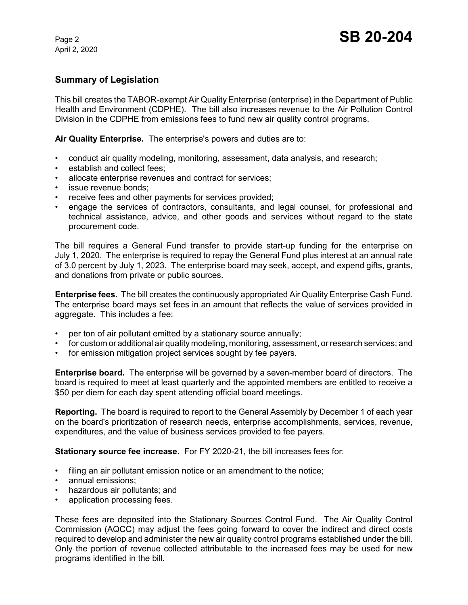### **Summary of Legislation**

This bill creates the TABOR-exempt Air Quality Enterprise (enterprise) in the Department of Public Health and Environment (CDPHE). The bill also increases revenue to the Air Pollution Control Division in the CDPHE from emissions fees to fund new air quality control programs.

**Air Quality Enterprise.** The enterprise's powers and duties are to:

- conduct air quality modeling, monitoring, assessment, data analysis, and research;
- establish and collect fees;
- allocate enterprise revenues and contract for services;
- issue revenue bonds;
- receive fees and other payments for services provided;
- engage the services of contractors, consultants, and legal counsel, for professional and technical assistance, advice, and other goods and services without regard to the state procurement code.

The bill requires a General Fund transfer to provide start-up funding for the enterprise on July 1, 2020. The enterprise is required to repay the General Fund plus interest at an annual rate of 3.0 percent by July 1, 2023. The enterprise board may seek, accept, and expend gifts, grants, and donations from private or public sources.

**Enterprise fees.** The bill creates the continuously appropriated Air Quality Enterprise Cash Fund. The enterprise board mays set fees in an amount that reflects the value of services provided in aggregate. This includes a fee:

- per ton of air pollutant emitted by a stationary source annually;
- for custom or additional air quality modeling, monitoring, assessment, or research services; and
- for emission mitigation project services sought by fee payers.

**Enterprise board.** The enterprise will be governed by a seven-member board of directors. The board is required to meet at least quarterly and the appointed members are entitled to receive a \$50 per diem for each day spent attending official board meetings.

**Reporting.** The board is required to report to the General Assembly by December 1 of each year on the board's prioritization of research needs, enterprise accomplishments, services, revenue, expenditures, and the value of business services provided to fee payers.

**Stationary source fee increase.** For FY 2020-21, the bill increases fees for:

- filing an air pollutant emission notice or an amendment to the notice;
- annual emissions;
- hazardous air pollutants; and
- application processing fees.

These fees are deposited into the Stationary Sources Control Fund. The Air Quality Control Commission (AQCC) may adjust the fees going forward to cover the indirect and direct costs required to develop and administer the new air quality control programs established under the bill. Only the portion of revenue collected attributable to the increased fees may be used for new programs identified in the bill.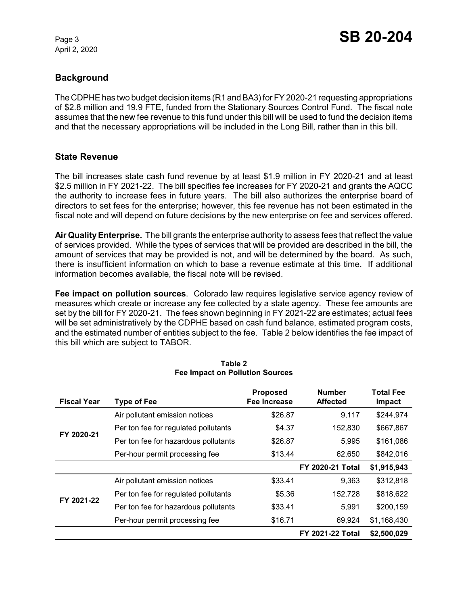# **Background**

The CDPHE has two budget decision items (R1 and BA3) for FY 2020-21 requesting appropriations of \$2.8 million and 19.9 FTE, funded from the Stationary Sources Control Fund. The fiscal note assumes that the new fee revenue to this fund under this bill will be used to fund the decision items and that the necessary appropriations will be included in the Long Bill, rather than in this bill.

## **State Revenue**

The bill increases state cash fund revenue by at least \$1.9 million in FY 2020-21 and at least \$2.5 million in FY 2021-22. The bill specifies fee increases for FY 2020-21 and grants the AQCC the authority to increase fees in future years. The bill also authorizes the enterprise board of directors to set fees for the enterprise; however, this fee revenue has not been estimated in the fiscal note and will depend on future decisions by the new enterprise on fee and services offered.

**Air Quality Enterprise.** The bill grants the enterprise authority to assess fees that reflect the value of services provided. While the types of services that will be provided are described in the bill, the amount of services that may be provided is not, and will be determined by the board. As such, there is insufficient information on which to base a revenue estimate at this time. If additional information becomes available, the fiscal note will be revised.

**Fee impact on pollution sources**. Colorado law requires legislative service agency review of measures which create or increase any fee collected by a state agency. These fee amounts are set by the bill for FY 2020-21. The fees shown beginning in FY 2021-22 are estimates; actual fees will be set administratively by the CDPHE based on cash fund balance, estimated program costs, and the estimated number of entities subject to the fee. Table 2 below identifies the fee impact of this bill which are subject to TABOR.

| <b>Fiscal Year</b> | <b>Type of Fee</b>                   | <b>Proposed</b><br>Fee Increase | <b>Number</b><br><b>Affected</b> | <b>Total Fee</b><br>Impact |
|--------------------|--------------------------------------|---------------------------------|----------------------------------|----------------------------|
| FY 2020-21         | Air pollutant emission notices       | \$26.87                         | 9,117                            | \$244,974                  |
|                    | Per ton fee for regulated pollutants | \$4.37                          | 152,830                          | \$667,867                  |
|                    | Per ton fee for hazardous pollutants | \$26.87                         | 5.995                            | \$161,086                  |
|                    | Per-hour permit processing fee       | \$13.44                         | 62,650                           | \$842,016                  |
|                    |                                      |                                 | <b>FY 2020-21 Total</b>          | \$1,915,943                |
| FY 2021-22         | Air pollutant emission notices       | \$33.41                         | 9,363                            | \$312,818                  |
|                    | Per ton fee for regulated pollutants | \$5.36                          | 152,728                          | \$818,622                  |
|                    | Per ton fee for hazardous pollutants | \$33.41                         | 5.991                            | \$200,159                  |
|                    | Per-hour permit processing fee       | \$16.71                         | 69,924                           | \$1,168,430                |
|                    |                                      |                                 | <b>FY 2021-22 Total</b>          | \$2,500,029                |

#### **Table 2 Fee Impact on Pollution Sources**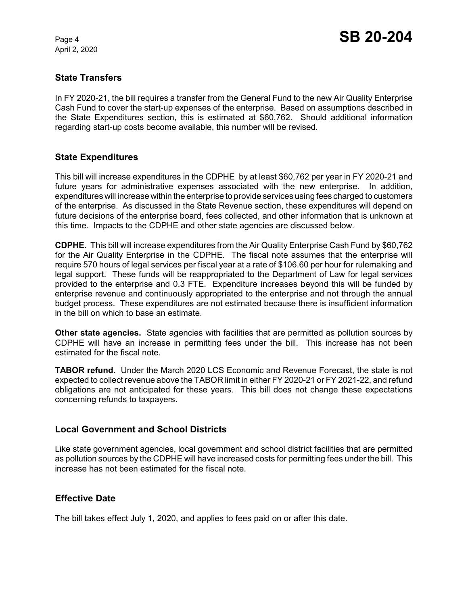# **State Transfers**

In FY 2020-21, the bill requires a transfer from the General Fund to the new Air Quality Enterprise Cash Fund to cover the start-up expenses of the enterprise. Based on assumptions described in the State Expenditures section, this is estimated at \$60,762. Should additional information regarding start-up costs become available, this number will be revised.

## **State Expenditures**

This bill will increase expenditures in the CDPHE by at least \$60,762 per year in FY 2020-21 and future years for administrative expenses associated with the new enterprise. In addition, expenditures will increase within the enterprise to provide services using fees charged to customers of the enterprise. As discussed in the State Revenue section, these expenditures will depend on future decisions of the enterprise board, fees collected, and other information that is unknown at this time. Impacts to the CDPHE and other state agencies are discussed below.

**CDPHE.** This bill will increase expenditures from the Air Quality Enterprise Cash Fund by \$60,762 for the Air Quality Enterprise in the CDPHE. The fiscal note assumes that the enterprise will require 570 hours of legal services per fiscal year at a rate of \$106.60 per hour for rulemaking and legal support. These funds will be reappropriated to the Department of Law for legal services provided to the enterprise and 0.3 FTE. Expenditure increases beyond this will be funded by enterprise revenue and continuously appropriated to the enterprise and not through the annual budget process. These expenditures are not estimated because there is insufficient information in the bill on which to base an estimate.

**Other state agencies.** State agencies with facilities that are permitted as pollution sources by CDPHE will have an increase in permitting fees under the bill. This increase has not been estimated for the fiscal note.

**TABOR refund.** Under the March 2020 LCS Economic and Revenue Forecast, the state is not expected to collect revenue above the TABOR limit in either FY 2020-21 or FY 2021-22, and refund obligations are not anticipated for these years. This bill does not change these expectations concerning refunds to taxpayers.

#### **Local Government and School Districts**

Like state government agencies, local government and school district facilities that are permitted as pollution sources by the CDPHE will have increased costs for permitting fees under the bill. This increase has not been estimated for the fiscal note.

#### **Effective Date**

The bill takes effect July 1, 2020, and applies to fees paid on or after this date.